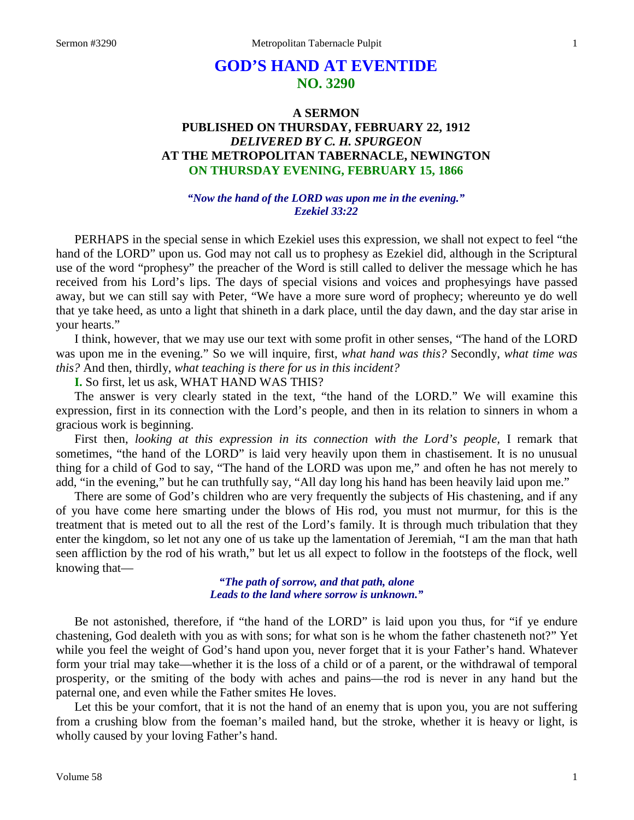# **GOD'S HAND AT EVENTIDE NO. 3290**

## **A SERMON PUBLISHED ON THURSDAY, FEBRUARY 22, 1912** *DELIVERED BY C. H. SPURGEON* **AT THE METROPOLITAN TABERNACLE, NEWINGTON ON THURSDAY EVENING, FEBRUARY 15, 1866**

#### *"Now the hand of the LORD was upon me in the evening." Ezekiel 33:22*

PERHAPS in the special sense in which Ezekiel uses this expression, we shall not expect to feel "the hand of the LORD" upon us. God may not call us to prophesy as Ezekiel did, although in the Scriptural use of the word "prophesy" the preacher of the Word is still called to deliver the message which he has received from his Lord's lips. The days of special visions and voices and prophesyings have passed away, but we can still say with Peter, "We have a more sure word of prophecy; whereunto ye do well that ye take heed, as unto a light that shineth in a dark place, until the day dawn, and the day star arise in your hearts."

I think, however, that we may use our text with some profit in other senses, "The hand of the LORD was upon me in the evening." So we will inquire, first, *what hand was this?* Secondly, *what time was this?* And then, thirdly, *what teaching is there for us in this incident?* 

**I.** So first, let us ask, WHAT HAND WAS THIS?

The answer is very clearly stated in the text, "the hand of the LORD." We will examine this expression, first in its connection with the Lord's people, and then in its relation to sinners in whom a gracious work is beginning.

First then, *looking at this expression in its connection with the Lord's people,* I remark that sometimes, "the hand of the LORD" is laid very heavily upon them in chastisement. It is no unusual thing for a child of God to say, "The hand of the LORD was upon me," and often he has not merely to add, "in the evening," but he can truthfully say, "All day long his hand has been heavily laid upon me."

There are some of God's children who are very frequently the subjects of His chastening, and if any of you have come here smarting under the blows of His rod, you must not murmur, for this is the treatment that is meted out to all the rest of the Lord's family. It is through much tribulation that they enter the kingdom, so let not any one of us take up the lamentation of Jeremiah, "I am the man that hath seen affliction by the rod of his wrath," but let us all expect to follow in the footsteps of the flock, well knowing that—

> *"The path of sorrow, and that path, alone Leads to the land where sorrow is unknown."*

Be not astonished, therefore, if "the hand of the LORD" is laid upon you thus, for "if ye endure chastening, God dealeth with you as with sons; for what son is he whom the father chasteneth not?" Yet while you feel the weight of God's hand upon you, never forget that it is your Father's hand. Whatever form your trial may take—whether it is the loss of a child or of a parent, or the withdrawal of temporal prosperity, or the smiting of the body with aches and pains—the rod is never in any hand but the paternal one, and even while the Father smites He loves.

Let this be your comfort, that it is not the hand of an enemy that is upon you, you are not suffering from a crushing blow from the foeman's mailed hand, but the stroke, whether it is heavy or light, is wholly caused by your loving Father's hand.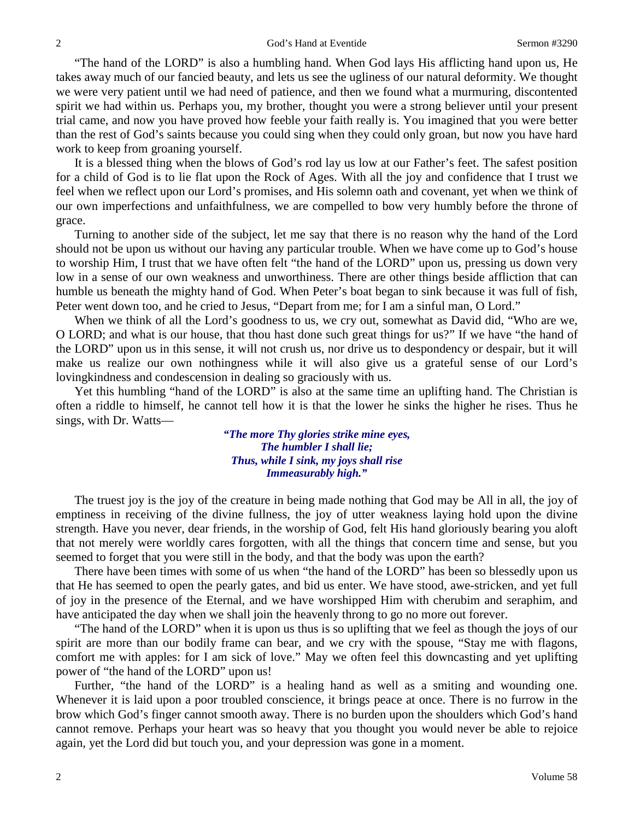"The hand of the LORD" is also a humbling hand. When God lays His afflicting hand upon us, He takes away much of our fancied beauty, and lets us see the ugliness of our natural deformity. We thought we were very patient until we had need of patience, and then we found what a murmuring, discontented spirit we had within us. Perhaps you, my brother, thought you were a strong believer until your present trial came, and now you have proved how feeble your faith really is. You imagined that you were better than the rest of God's saints because you could sing when they could only groan, but now you have hard work to keep from groaning yourself.

It is a blessed thing when the blows of God's rod lay us low at our Father's feet. The safest position for a child of God is to lie flat upon the Rock of Ages. With all the joy and confidence that I trust we feel when we reflect upon our Lord's promises, and His solemn oath and covenant, yet when we think of our own imperfections and unfaithfulness, we are compelled to bow very humbly before the throne of grace.

Turning to another side of the subject, let me say that there is no reason why the hand of the Lord should not be upon us without our having any particular trouble. When we have come up to God's house to worship Him, I trust that we have often felt "the hand of the LORD" upon us, pressing us down very low in a sense of our own weakness and unworthiness. There are other things beside affliction that can humble us beneath the mighty hand of God. When Peter's boat began to sink because it was full of fish, Peter went down too, and he cried to Jesus, "Depart from me; for I am a sinful man, O Lord."

When we think of all the Lord's goodness to us, we cry out, somewhat as David did, "Who are we, O LORD; and what is our house, that thou hast done such great things for us?" If we have "the hand of the LORD" upon us in this sense, it will not crush us, nor drive us to despondency or despair, but it will make us realize our own nothingness while it will also give us a grateful sense of our Lord's lovingkindness and condescension in dealing so graciously with us.

Yet this humbling "hand of the LORD" is also at the same time an uplifting hand. The Christian is often a riddle to himself, he cannot tell how it is that the lower he sinks the higher he rises. Thus he sings, with Dr. Watts—

> *"The more Thy glories strike mine eyes, The humbler I shall lie; Thus, while I sink, my joys shall rise Immeasurably high."*

The truest joy is the joy of the creature in being made nothing that God may be All in all, the joy of emptiness in receiving of the divine fullness, the joy of utter weakness laying hold upon the divine strength. Have you never, dear friends, in the worship of God, felt His hand gloriously bearing you aloft that not merely were worldly cares forgotten, with all the things that concern time and sense, but you seemed to forget that you were still in the body, and that the body was upon the earth?

There have been times with some of us when "the hand of the LORD" has been so blessedly upon us that He has seemed to open the pearly gates, and bid us enter. We have stood, awe-stricken, and yet full of joy in the presence of the Eternal, and we have worshipped Him with cherubim and seraphim, and have anticipated the day when we shall join the heavenly throng to go no more out forever.

"The hand of the LORD" when it is upon us thus is so uplifting that we feel as though the joys of our spirit are more than our bodily frame can bear, and we cry with the spouse, "Stay me with flagons, comfort me with apples: for I am sick of love." May we often feel this downcasting and yet uplifting power of "the hand of the LORD" upon us!

Further, "the hand of the LORD" is a healing hand as well as a smiting and wounding one. Whenever it is laid upon a poor troubled conscience, it brings peace at once. There is no furrow in the brow which God's finger cannot smooth away. There is no burden upon the shoulders which God's hand cannot remove. Perhaps your heart was so heavy that you thought you would never be able to rejoice again, yet the Lord did but touch you, and your depression was gone in a moment.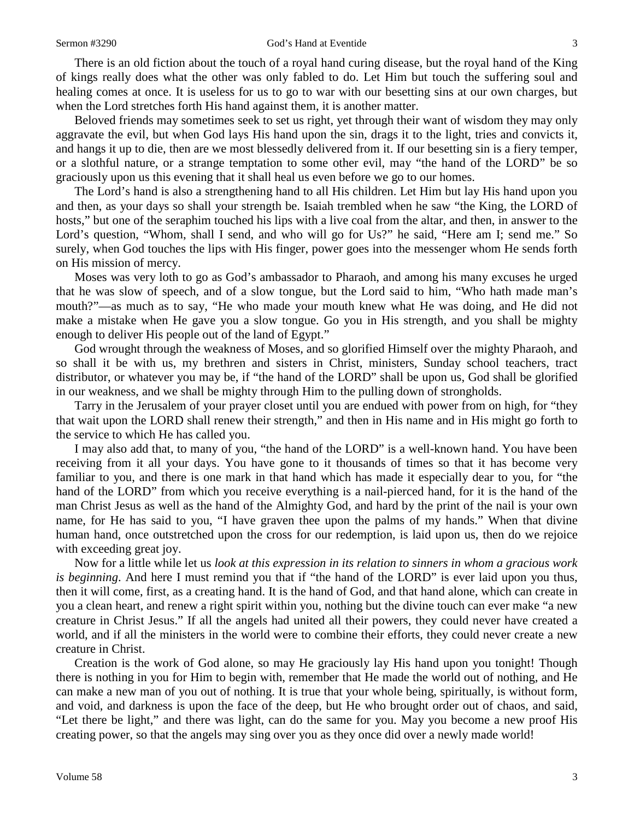#### Sermon #3290 God's Hand at Eventide 3

There is an old fiction about the touch of a royal hand curing disease, but the royal hand of the King of kings really does what the other was only fabled to do. Let Him but touch the suffering soul and healing comes at once. It is useless for us to go to war with our besetting sins at our own charges, but when the Lord stretches forth His hand against them, it is another matter.

Beloved friends may sometimes seek to set us right, yet through their want of wisdom they may only aggravate the evil, but when God lays His hand upon the sin, drags it to the light, tries and convicts it, and hangs it up to die, then are we most blessedly delivered from it. If our besetting sin is a fiery temper, or a slothful nature, or a strange temptation to some other evil, may "the hand of the LORD" be so graciously upon us this evening that it shall heal us even before we go to our homes.

The Lord's hand is also a strengthening hand to all His children. Let Him but lay His hand upon you and then, as your days so shall your strength be. Isaiah trembled when he saw "the King, the LORD of hosts," but one of the seraphim touched his lips with a live coal from the altar, and then, in answer to the Lord's question, "Whom, shall I send, and who will go for Us?" he said, "Here am I; send me." So surely, when God touches the lips with His finger, power goes into the messenger whom He sends forth on His mission of mercy.

Moses was very loth to go as God's ambassador to Pharaoh, and among his many excuses he urged that he was slow of speech, and of a slow tongue, but the Lord said to him, "Who hath made man's mouth?"—as much as to say, "He who made your mouth knew what He was doing, and He did not make a mistake when He gave you a slow tongue. Go you in His strength, and you shall be mighty enough to deliver His people out of the land of Egypt."

God wrought through the weakness of Moses, and so glorified Himself over the mighty Pharaoh, and so shall it be with us, my brethren and sisters in Christ, ministers, Sunday school teachers, tract distributor, or whatever you may be, if "the hand of the LORD" shall be upon us, God shall be glorified in our weakness, and we shall be mighty through Him to the pulling down of strongholds.

Tarry in the Jerusalem of your prayer closet until you are endued with power from on high, for "they that wait upon the LORD shall renew their strength," and then in His name and in His might go forth to the service to which He has called you.

I may also add that, to many of you, "the hand of the LORD" is a well-known hand. You have been receiving from it all your days. You have gone to it thousands of times so that it has become very familiar to you, and there is one mark in that hand which has made it especially dear to you, for "the hand of the LORD" from which you receive everything is a nail-pierced hand, for it is the hand of the man Christ Jesus as well as the hand of the Almighty God, and hard by the print of the nail is your own name, for He has said to you, "I have graven thee upon the palms of my hands." When that divine human hand, once outstretched upon the cross for our redemption, is laid upon us, then do we rejoice with exceeding great joy.

Now for a little while let us *look at this expression in its relation to sinners in whom a gracious work is beginning*. And here I must remind you that if "the hand of the LORD" is ever laid upon you thus, then it will come, first, as a creating hand. It is the hand of God, and that hand alone, which can create in you a clean heart, and renew a right spirit within you, nothing but the divine touch can ever make "a new creature in Christ Jesus." If all the angels had united all their powers, they could never have created a world, and if all the ministers in the world were to combine their efforts, they could never create a new creature in Christ.

Creation is the work of God alone, so may He graciously lay His hand upon you tonight! Though there is nothing in you for Him to begin with, remember that He made the world out of nothing, and He can make a new man of you out of nothing. It is true that your whole being, spiritually, is without form, and void, and darkness is upon the face of the deep, but He who brought order out of chaos, and said, "Let there be light," and there was light, can do the same for you. May you become a new proof His creating power, so that the angels may sing over you as they once did over a newly made world!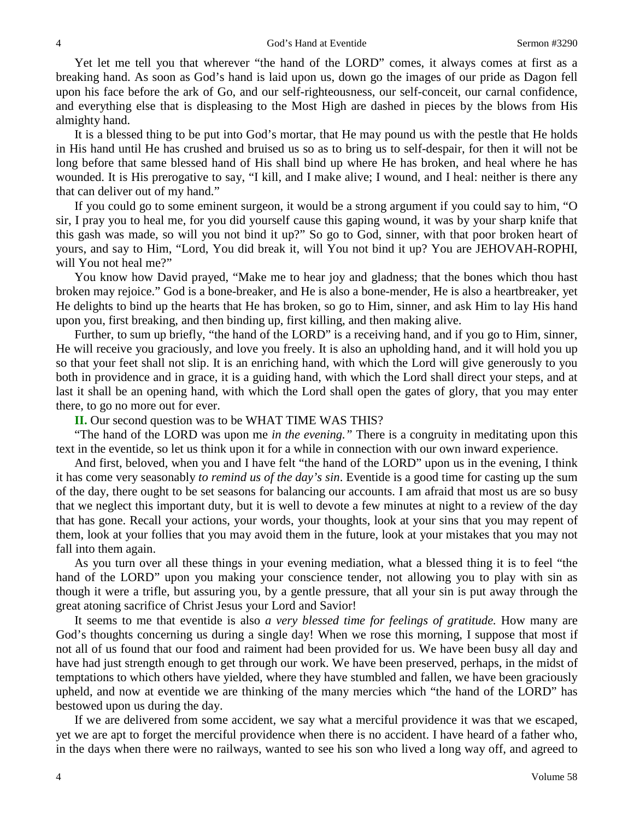Yet let me tell you that wherever "the hand of the LORD" comes, it always comes at first as a breaking hand. As soon as God's hand is laid upon us, down go the images of our pride as Dagon fell upon his face before the ark of Go, and our self-righteousness, our self-conceit, our carnal confidence, and everything else that is displeasing to the Most High are dashed in pieces by the blows from His almighty hand.

It is a blessed thing to be put into God's mortar, that He may pound us with the pestle that He holds in His hand until He has crushed and bruised us so as to bring us to self-despair, for then it will not be long before that same blessed hand of His shall bind up where He has broken, and heal where he has wounded. It is His prerogative to say, "I kill, and I make alive; I wound, and I heal: neither is there any that can deliver out of my hand."

If you could go to some eminent surgeon, it would be a strong argument if you could say to him, "O sir, I pray you to heal me, for you did yourself cause this gaping wound, it was by your sharp knife that this gash was made, so will you not bind it up?" So go to God, sinner, with that poor broken heart of yours, and say to Him, "Lord, You did break it, will You not bind it up? You are JEHOVAH-ROPHI, will You not heal me?"

You know how David prayed, "Make me to hear joy and gladness; that the bones which thou hast broken may rejoice." God is a bone-breaker, and He is also a bone-mender, He is also a heartbreaker, yet He delights to bind up the hearts that He has broken, so go to Him, sinner, and ask Him to lay His hand upon you, first breaking, and then binding up, first killing, and then making alive.

Further, to sum up briefly, "the hand of the LORD" is a receiving hand, and if you go to Him, sinner, He will receive you graciously, and love you freely. It is also an upholding hand, and it will hold you up so that your feet shall not slip. It is an enriching hand, with which the Lord will give generously to you both in providence and in grace, it is a guiding hand, with which the Lord shall direct your steps, and at last it shall be an opening hand, with which the Lord shall open the gates of glory, that you may enter there, to go no more out for ever.

#### **II.** Our second question was to be WHAT TIME WAS THIS?

"The hand of the LORD was upon me *in the evening."* There is a congruity in meditating upon this text in the eventide, so let us think upon it for a while in connection with our own inward experience.

And first, beloved, when you and I have felt "the hand of the LORD" upon us in the evening, I think it has come very seasonably *to remind us of the day's sin*. Eventide is a good time for casting up the sum of the day, there ought to be set seasons for balancing our accounts. I am afraid that most us are so busy that we neglect this important duty, but it is well to devote a few minutes at night to a review of the day that has gone. Recall your actions, your words, your thoughts, look at your sins that you may repent of them, look at your follies that you may avoid them in the future, look at your mistakes that you may not fall into them again.

As you turn over all these things in your evening mediation, what a blessed thing it is to feel "the hand of the LORD" upon you making your conscience tender, not allowing you to play with sin as though it were a trifle, but assuring you, by a gentle pressure, that all your sin is put away through the great atoning sacrifice of Christ Jesus your Lord and Savior!

It seems to me that eventide is also *a very blessed time for feelings of gratitude.* How many are God's thoughts concerning us during a single day! When we rose this morning, I suppose that most if not all of us found that our food and raiment had been provided for us. We have been busy all day and have had just strength enough to get through our work. We have been preserved, perhaps, in the midst of temptations to which others have yielded, where they have stumbled and fallen, we have been graciously upheld, and now at eventide we are thinking of the many mercies which "the hand of the LORD" has bestowed upon us during the day.

If we are delivered from some accident, we say what a merciful providence it was that we escaped, yet we are apt to forget the merciful providence when there is no accident. I have heard of a father who, in the days when there were no railways, wanted to see his son who lived a long way off, and agreed to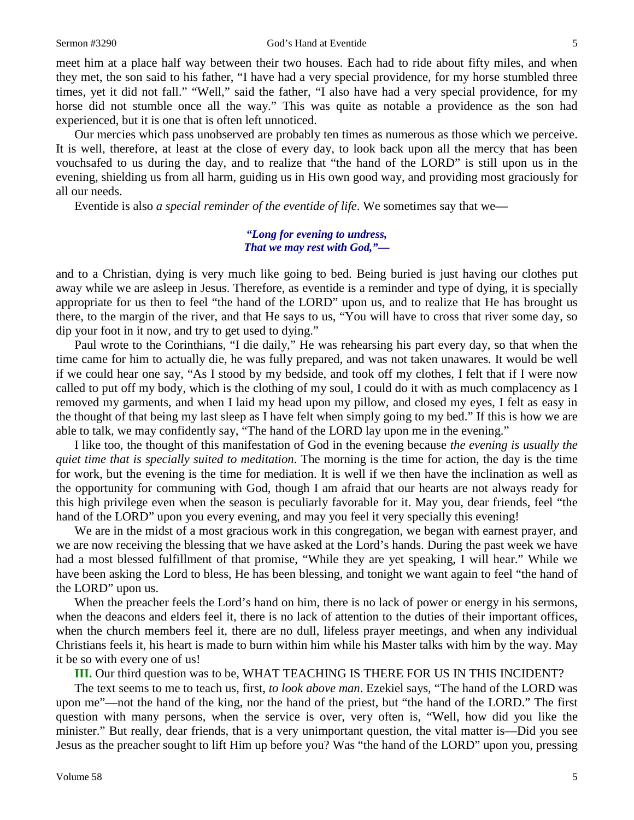meet him at a place half way between their two houses. Each had to ride about fifty miles, and when they met, the son said to his father, "I have had a very special providence, for my horse stumbled three times, yet it did not fall." "Well," said the father, "I also have had a very special providence, for my horse did not stumble once all the way." This was quite as notable a providence as the son had experienced, but it is one that is often left unnoticed.

Our mercies which pass unobserved are probably ten times as numerous as those which we perceive. It is well, therefore, at least at the close of every day, to look back upon all the mercy that has been vouchsafed to us during the day, and to realize that "the hand of the LORD" is still upon us in the evening, shielding us from all harm, guiding us in His own good way, and providing most graciously for all our needs.

Eventide is also *a special reminder of the eventide of life*. We sometimes say that we**—**

#### *"Long for evening to undress, That we may rest with God,"—*

and to a Christian, dying is very much like going to bed. Being buried is just having our clothes put away while we are asleep in Jesus. Therefore, as eventide is a reminder and type of dying, it is specially appropriate for us then to feel "the hand of the LORD" upon us, and to realize that He has brought us there, to the margin of the river, and that He says to us, "You will have to cross that river some day, so dip your foot in it now, and try to get used to dying."

Paul wrote to the Corinthians, "I die daily," He was rehearsing his part every day, so that when the time came for him to actually die, he was fully prepared, and was not taken unawares. It would be well if we could hear one say, "As I stood by my bedside, and took off my clothes, I felt that if I were now called to put off my body, which is the clothing of my soul, I could do it with as much complacency as I removed my garments, and when I laid my head upon my pillow, and closed my eyes, I felt as easy in the thought of that being my last sleep as I have felt when simply going to my bed." If this is how we are able to talk, we may confidently say, "The hand of the LORD lay upon me in the evening."

I like too, the thought of this manifestation of God in the evening because *the evening is usually the quiet time that is specially suited to meditation*. The morning is the time for action, the day is the time for work, but the evening is the time for mediation. It is well if we then have the inclination as well as the opportunity for communing with God, though I am afraid that our hearts are not always ready for this high privilege even when the season is peculiarly favorable for it. May you, dear friends, feel "the hand of the LORD" upon you every evening, and may you feel it very specially this evening!

We are in the midst of a most gracious work in this congregation, we began with earnest prayer, and we are now receiving the blessing that we have asked at the Lord's hands. During the past week we have had a most blessed fulfillment of that promise, "While they are yet speaking, I will hear." While we have been asking the Lord to bless, He has been blessing, and tonight we want again to feel "the hand of the LORD" upon us.

When the preacher feels the Lord's hand on him, there is no lack of power or energy in his sermons, when the deacons and elders feel it, there is no lack of attention to the duties of their important offices, when the church members feel it, there are no dull, lifeless prayer meetings, and when any individual Christians feels it, his heart is made to burn within him while his Master talks with him by the way. May it be so with every one of us!

**III.** Our third question was to be, WHAT TEACHING IS THERE FOR US IN THIS INCIDENT?

The text seems to me to teach us, first, *to look above man*. Ezekiel says, "The hand of the LORD was upon me"—not the hand of the king, nor the hand of the priest, but "the hand of the LORD." The first question with many persons, when the service is over, very often is, "Well, how did you like the minister." But really, dear friends, that is a very unimportant question, the vital matter is—Did you see Jesus as the preacher sought to lift Him up before you? Was "the hand of the LORD" upon you, pressing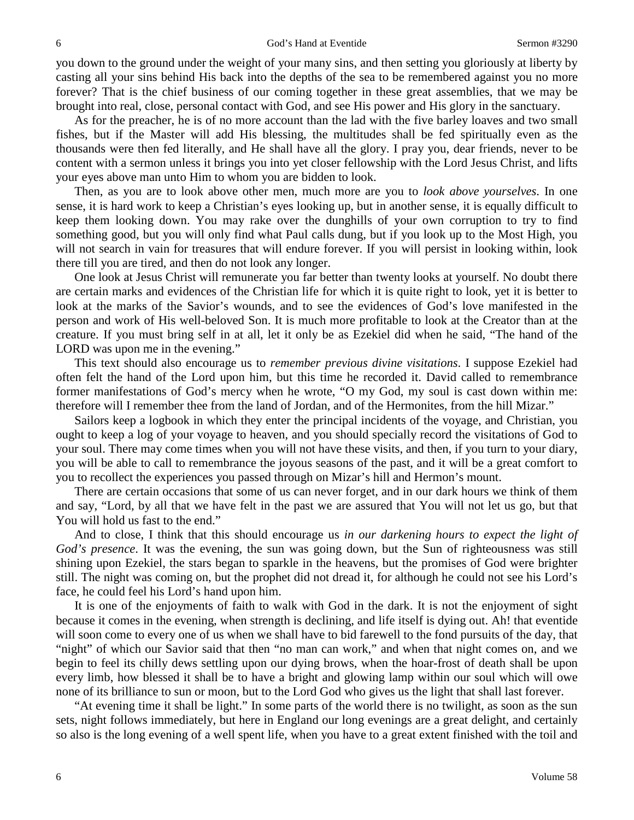you down to the ground under the weight of your many sins, and then setting you gloriously at liberty by casting all your sins behind His back into the depths of the sea to be remembered against you no more forever? That is the chief business of our coming together in these great assemblies, that we may be brought into real, close, personal contact with God, and see His power and His glory in the sanctuary.

As for the preacher, he is of no more account than the lad with the five barley loaves and two small fishes, but if the Master will add His blessing, the multitudes shall be fed spiritually even as the thousands were then fed literally, and He shall have all the glory. I pray you, dear friends, never to be content with a sermon unless it brings you into yet closer fellowship with the Lord Jesus Christ, and lifts your eyes above man unto Him to whom you are bidden to look.

Then, as you are to look above other men, much more are you to *look above yourselves*. In one sense, it is hard work to keep a Christian's eyes looking up, but in another sense, it is equally difficult to keep them looking down. You may rake over the dunghills of your own corruption to try to find something good, but you will only find what Paul calls dung, but if you look up to the Most High, you will not search in vain for treasures that will endure forever. If you will persist in looking within, look there till you are tired, and then do not look any longer.

One look at Jesus Christ will remunerate you far better than twenty looks at yourself. No doubt there are certain marks and evidences of the Christian life for which it is quite right to look, yet it is better to look at the marks of the Savior's wounds, and to see the evidences of God's love manifested in the person and work of His well-beloved Son. It is much more profitable to look at the Creator than at the creature. If you must bring self in at all, let it only be as Ezekiel did when he said, "The hand of the LORD was upon me in the evening."

This text should also encourage us to *remember previous divine visitations*. I suppose Ezekiel had often felt the hand of the Lord upon him, but this time he recorded it. David called to remembrance former manifestations of God's mercy when he wrote, "O my God, my soul is cast down within me: therefore will I remember thee from the land of Jordan, and of the Hermonites, from the hill Mizar."

Sailors keep a logbook in which they enter the principal incidents of the voyage, and Christian, you ought to keep a log of your voyage to heaven, and you should specially record the visitations of God to your soul. There may come times when you will not have these visits, and then, if you turn to your diary, you will be able to call to remembrance the joyous seasons of the past, and it will be a great comfort to you to recollect the experiences you passed through on Mizar's hill and Hermon's mount.

There are certain occasions that some of us can never forget, and in our dark hours we think of them and say, "Lord, by all that we have felt in the past we are assured that You will not let us go, but that You will hold us fast to the end."

And to close, I think that this should encourage us *in our darkening hours to expect the light of God's presence*. It was the evening, the sun was going down, but the Sun of righteousness was still shining upon Ezekiel, the stars began to sparkle in the heavens, but the promises of God were brighter still. The night was coming on, but the prophet did not dread it, for although he could not see his Lord's face, he could feel his Lord's hand upon him.

It is one of the enjoyments of faith to walk with God in the dark. It is not the enjoyment of sight because it comes in the evening, when strength is declining, and life itself is dying out. Ah! that eventide will soon come to every one of us when we shall have to bid farewell to the fond pursuits of the day, that "night" of which our Savior said that then "no man can work," and when that night comes on, and we begin to feel its chilly dews settling upon our dying brows, when the hoar-frost of death shall be upon every limb, how blessed it shall be to have a bright and glowing lamp within our soul which will owe none of its brilliance to sun or moon, but to the Lord God who gives us the light that shall last forever.

"At evening time it shall be light." In some parts of the world there is no twilight, as soon as the sun sets, night follows immediately, but here in England our long evenings are a great delight, and certainly so also is the long evening of a well spent life, when you have to a great extent finished with the toil and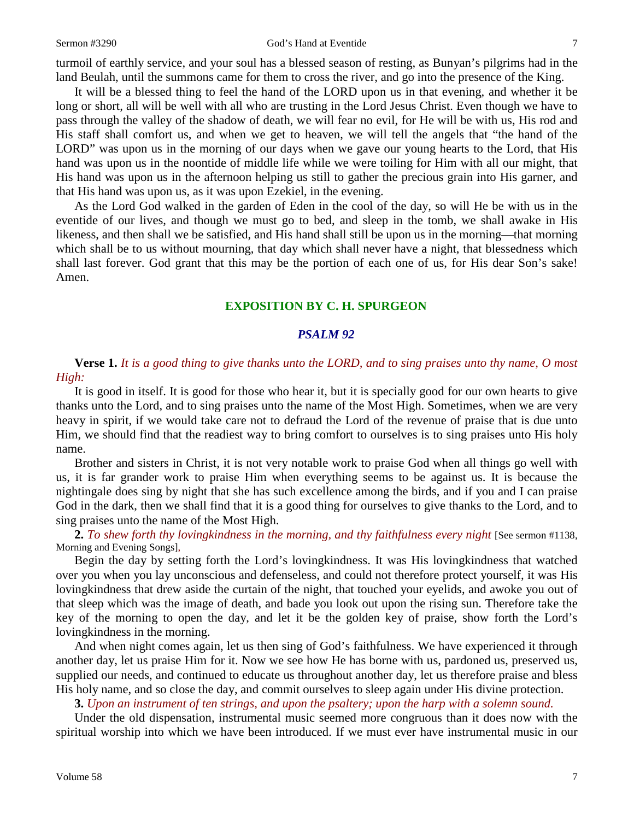#### Sermon #3290 God's Hand at Eventide 7

turmoil of earthly service, and your soul has a blessed season of resting, as Bunyan's pilgrims had in the land Beulah, until the summons came for them to cross the river, and go into the presence of the King.

It will be a blessed thing to feel the hand of the LORD upon us in that evening, and whether it be long or short, all will be well with all who are trusting in the Lord Jesus Christ. Even though we have to pass through the valley of the shadow of death, we will fear no evil, for He will be with us, His rod and His staff shall comfort us, and when we get to heaven, we will tell the angels that "the hand of the LORD" was upon us in the morning of our days when we gave our young hearts to the Lord, that His hand was upon us in the noontide of middle life while we were toiling for Him with all our might, that His hand was upon us in the afternoon helping us still to gather the precious grain into His garner, and that His hand was upon us, as it was upon Ezekiel, in the evening.

As the Lord God walked in the garden of Eden in the cool of the day, so will He be with us in the eventide of our lives, and though we must go to bed, and sleep in the tomb, we shall awake in His likeness, and then shall we be satisfied, and His hand shall still be upon us in the morning—that morning which shall be to us without mourning, that day which shall never have a night, that blessedness which shall last forever. God grant that this may be the portion of each one of us, for His dear Son's sake! Amen.

### **EXPOSITION BY C. H. SPURGEON**

#### *PSALM 92*

### **Verse 1.** *It is a good thing to give thanks unto the LORD, and to sing praises unto thy name, O most High:*

It is good in itself. It is good for those who hear it, but it is specially good for our own hearts to give thanks unto the Lord, and to sing praises unto the name of the Most High. Sometimes, when we are very heavy in spirit, if we would take care not to defraud the Lord of the revenue of praise that is due unto Him, we should find that the readiest way to bring comfort to ourselves is to sing praises unto His holy name.

Brother and sisters in Christ, it is not very notable work to praise God when all things go well with us, it is far grander work to praise Him when everything seems to be against us. It is because the nightingale does sing by night that she has such excellence among the birds, and if you and I can praise God in the dark, then we shall find that it is a good thing for ourselves to give thanks to the Lord, and to sing praises unto the name of the Most High.

**2.** *To shew forth thy lovingkindness in the morning, and thy faithfulness every night* [See sermon #1138, Morning and Evening Songs],

Begin the day by setting forth the Lord's lovingkindness. It was His lovingkindness that watched over you when you lay unconscious and defenseless, and could not therefore protect yourself, it was His lovingkindness that drew aside the curtain of the night, that touched your eyelids, and awoke you out of that sleep which was the image of death, and bade you look out upon the rising sun. Therefore take the key of the morning to open the day, and let it be the golden key of praise, show forth the Lord's lovingkindness in the morning.

And when night comes again, let us then sing of God's faithfulness. We have experienced it through another day, let us praise Him for it. Now we see how He has borne with us, pardoned us, preserved us, supplied our needs, and continued to educate us throughout another day, let us therefore praise and bless His holy name, and so close the day, and commit ourselves to sleep again under His divine protection.

**3.** *Upon an instrument of ten strings, and upon the psaltery; upon the harp with a solemn sound.*

Under the old dispensation, instrumental music seemed more congruous than it does now with the spiritual worship into which we have been introduced. If we must ever have instrumental music in our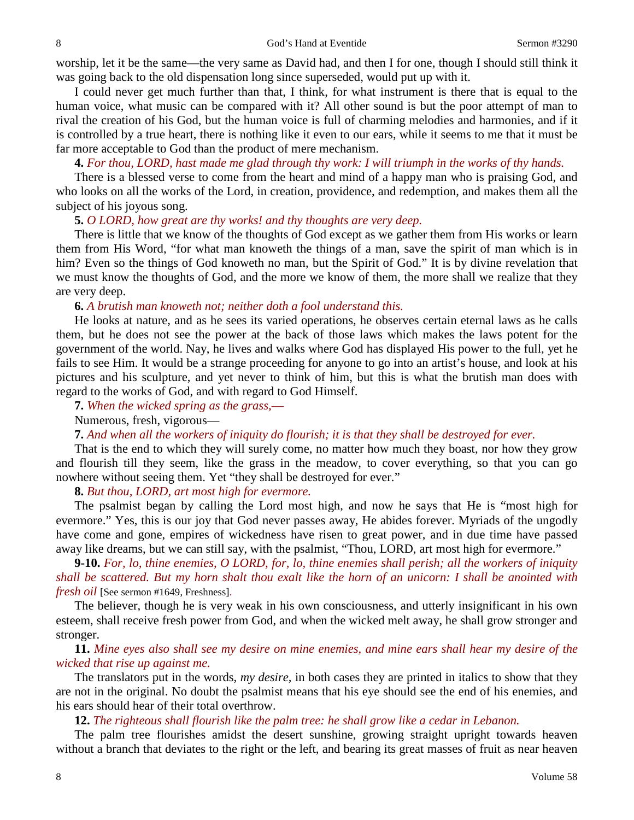worship, let it be the same—the very same as David had, and then I for one, though I should still think it was going back to the old dispensation long since superseded, would put up with it.

I could never get much further than that, I think, for what instrument is there that is equal to the human voice, what music can be compared with it? All other sound is but the poor attempt of man to rival the creation of his God, but the human voice is full of charming melodies and harmonies, and if it is controlled by a true heart, there is nothing like it even to our ears, while it seems to me that it must be far more acceptable to God than the product of mere mechanism.

**4.** *For thou, LORD, hast made me glad through thy work: I will triumph in the works of thy hands.*

There is a blessed verse to come from the heart and mind of a happy man who is praising God, and who looks on all the works of the Lord, in creation, providence, and redemption, and makes them all the subject of his joyous song.

## **5.** *O LORD, how great are thy works! and thy thoughts are very deep.*

There is little that we know of the thoughts of God except as we gather them from His works or learn them from His Word, "for what man knoweth the things of a man, save the spirit of man which is in him? Even so the things of God knoweth no man, but the Spirit of God." It is by divine revelation that we must know the thoughts of God, and the more we know of them, the more shall we realize that they are very deep.

#### **6.** *A brutish man knoweth not; neither doth a fool understand this.*

He looks at nature, and as he sees its varied operations, he observes certain eternal laws as he calls them, but he does not see the power at the back of those laws which makes the laws potent for the government of the world. Nay, he lives and walks where God has displayed His power to the full, yet he fails to see Him. It would be a strange proceeding for anyone to go into an artist's house, and look at his pictures and his sculpture, and yet never to think of him, but this is what the brutish man does with regard to the works of God, and with regard to God Himself.

**7.** *When the wicked spring as the grass,*—

Numerous, fresh, vigorous—

**7.** *And when all the workers of iniquity do flourish; it is that they shall be destroyed for ever.*

That is the end to which they will surely come, no matter how much they boast, nor how they grow and flourish till they seem, like the grass in the meadow, to cover everything, so that you can go nowhere without seeing them. Yet "they shall be destroyed for ever."

**8.** *But thou, LORD, art most high for evermore.*

The psalmist began by calling the Lord most high, and now he says that He is "most high for evermore." Yes, this is our joy that God never passes away, He abides forever. Myriads of the ungodly have come and gone, empires of wickedness have risen to great power, and in due time have passed away like dreams, but we can still say, with the psalmist, "Thou, LORD, art most high for evermore."

**9-10.** *For, lo, thine enemies, O LORD, for, lo, thine enemies shall perish; all the workers of iniquity shall be scattered. But my horn shalt thou exalt like the horn of an unicorn: I shall be anointed with fresh oil* [See sermon #1649, Freshness].

The believer, though he is very weak in his own consciousness, and utterly insignificant in his own esteem, shall receive fresh power from God, and when the wicked melt away, he shall grow stronger and stronger.

**11.** *Mine eyes also shall see my desire on mine enemies, and mine ears shall hear my desire of the wicked that rise up against me.*

The translators put in the words, *my desire,* in both cases they are printed in italics to show that they are not in the original. No doubt the psalmist means that his eye should see the end of his enemies, and his ears should hear of their total overthrow.

**12.** *The righteous shall flourish like the palm tree: he shall grow like a cedar in Lebanon.*

The palm tree flourishes amidst the desert sunshine, growing straight upright towards heaven without a branch that deviates to the right or the left, and bearing its great masses of fruit as near heaven